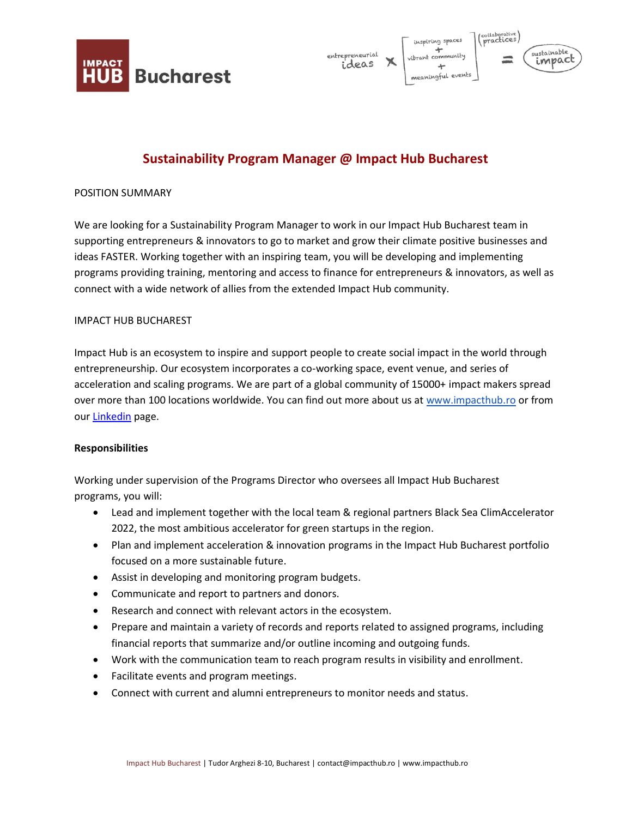



# **Sustainability Program Manager @ Impact Hub Bucharest**

## POSITION SUMMARY

We are looking for a Sustainability Program Manager to work in our Impact Hub Bucharest team in supporting entrepreneurs & innovators to go to market and grow their climate positive businesses and ideas FASTER. Working together with an inspiring team, you will be developing and implementing programs providing training, mentoring and access to finance for entrepreneurs & innovators, as well as connect with a wide network of allies from the extended Impact Hub community.

### IMPACT HUB BUCHAREST

Impact Hub is an ecosystem to inspire and support people to create social impact in the world through entrepreneurship. Our ecosystem incorporates a co-working space, event venue, and series of acceleration and scaling programs. We are part of a global community of 15000+ impact makers spread over more than 100 locations worldwide. You can find out more about us at [www.impacthub.ro](http://www.impacthub.ro/) or from our [Linkedin](https://www.linkedin.com/company/impacthubbucharest/) page.

#### **Responsibilities**

Working under supervision of the Programs Director who oversees all Impact Hub Bucharest programs, you will:

- Lead and implement together with the local team & regional partners Black Sea ClimAccelerator 2022, the most ambitious accelerator for green startups in the region.
- Plan and implement acceleration & innovation programs in the Impact Hub Bucharest portfolio focused on a more sustainable future.
- Assist in developing and monitoring program budgets.
- Communicate and report to partners and donors.
- Research and connect with relevant actors in the ecosystem.
- Prepare and maintain a variety of records and reports related to assigned programs, including financial reports that summarize and/or outline incoming and outgoing funds.
- Work with the communication team to reach program results in visibility and enrollment.
- Facilitate events and program meetings.
- Connect with current and alumni entrepreneurs to monitor needs and status.